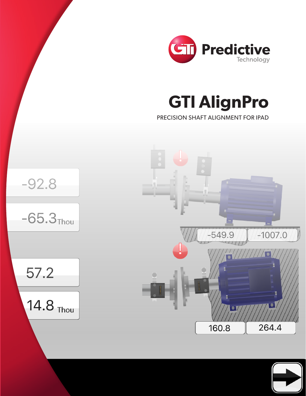

**GTI AlignPro** 

PRECISION SHAFT ALIGNMENT FOR IPAD



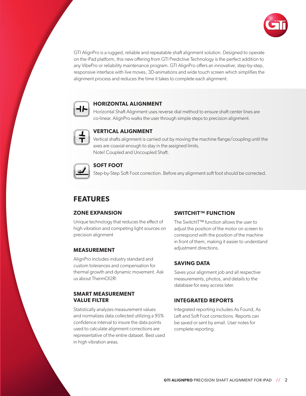

GTI AlignPro is a rugged, reliable and repeatable shaft alignment solution. Designed to operate on the iPad platform, this new offering from GTI Predictive Technology is the perfect addition to any VibePro or reliability maintenance program. GTI AlignPro offers an innovative, step-by-step, responsive interface with live moves, 3D-animations and wide touch screen which simplifies the alignment process and reduces the time it takes to complete each alignment.



#### **HORIZONTAL ALIGNMENT**

Horizontal Shaft Alignment uses reverse dial method to ensure shaft center lines are co-linear. AlignPro walks the user through simple steps to precision alignment.



## **VERTICAL ALIGNMENT**

Vertical shafts alignment is carried out by moving the machine flange/coupling until the axes are coaxial enough to stay in the assigned limits. Note! Coupled and Uncoupled Shaft.



### **SOFT FOOT**

Step-by-Step Soft Foot correction. Before any alignment soft foot should be corrected.

# **FEATURES**

#### **ZONE EXPANSION**

Unique technology that reduces the effect of high vibration and competing light sources on precision alignment

#### **MEASUREMENT**

AlignPro includes industry standard and custom tolerances and compensation for thermal growth and dynamic movement. Ask us about ThermOl2R!

### **SMART MEASUREMENT VALUE FILTER**

Statistically analyzes measurement values and normalizes data collected utilizing a 95% confidence interval to insure the data points used to calculate alignment corrections are representative of the entire dataset. Best used in high vibration areas.

#### **SWITCHIT™ FUNCTION**

The SwitchIT™ function allows the user to adjust the position of the motor on screen to correspond with the position of the machine in front of them, making it easier to understand adjustment directions.

#### **SAVING DATA**

Saves your alignment job and all respective measurements, photos, and details to the database for easy access later.

#### **INTEGRATED REPORTS**

Integrated reporting includes As Found, As Left and Soft Foot corrections. Reports can be saved or sent by email. User notes for complete reporting.